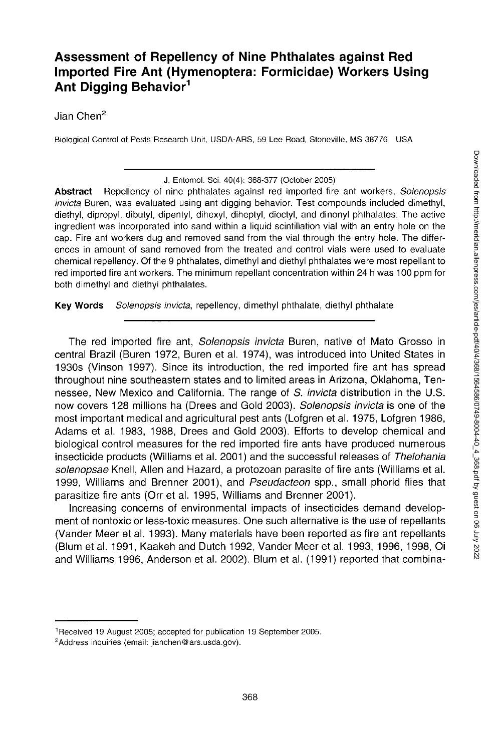# **Assessment of Repellency of Nine Phthalates against Red Imported Fire Ant (Hymenoptera: Formicidae) Workers Using Ant Digging Behavior<sup>1</sup>**

Jian Chen<sup>2</sup>

Biological Control of Pests Research Unit, USDA-ARS, 59 Lee Road, Stoneville, MS 38776 USA

J. Entomol. Sci. 40(4): 368-377 (October 2005)

**Abstract** Repellency of nine phthalates against red imported fire ant workers, *Solenopsis invicta* Buren, was evaluated using ant digging behavior. Test compounds included dimethyl, diethyl, dipropyl, dibutyl, dipentyl, dihexyl, diheptyl, dioctyl, and dinonyl phthalates. The active ingredient was incorporated into sand within a liquid scintillation vial with an entry hole on the cap. Fire ant workers dug and removed sand from the vial through the entry hole. The differences in amount of sand removed from the treated and control vials were used to evaluate chemical repellency. Of the 9 phthalates, dimethyl and diethyl phthalates were most repellant to red imported fire ant workers. The minimum repellant concentration within 24 h was 100 ppm for both dimethyl and diethyl phthalates.

**Key Words** *Solenopsis invicta,* repellency, dimethyl phthalate, diethyl phthalate

The red imported fire ant, *Solenopsis invicta* Buren, native of Mato Grosso in central Brazil (Buren 1972, Buren et al. 1974), was introduced into United States in 1930s (Vinson 1997). Since its introduction, the red imported fire ant has spread throughout nine southeastern states and to limited areas in Arizona, Oklahoma, Tennessee, New Mexico and California. The range of S. *invicta* distribution in the U.S. now covers 128 millions ha (Drees and Gold 2003). *Solenopsis invicta* is one of the most important medical and agricultural pest ants (Lofgren et al. 1975, Lofgren 1986, Adams et al. 1983, 1988, Drees and Gold 2003). Efforts to develop chemical and biological control measures for the red imported fire ants have produced numerous insecticide products (Williams et al. 2001) and the successful releases of *Thelohania solenopsae* Knell, Allen and Hazard, a protozoan parasite of fire ants (Williams et al. 1999, Williams and Brenner 2001), and *Pseudacteon* spp., small phorid flies that parasitize fire ants (Orr et al. 1995, Williams and Brenner 2001).

Increasing concerns of environmental impacts of insecticides demand development of nontoxic or less-toxic measures. One such alternative is the use of repellants (Vander Meer et al. 1993). Many materials have been reported as fire ant repellants (Blum et al. 1991, Kaakeh and Dutch 1992, Vander Meer et al. 1993, 1996, 1998, Oi and Williams 1996, Anderson et al. 2002). Blum et al. (1991) reported that combina-

<sup>&</sup>lt;sup>1</sup> Received 19 August 2005; accepted for publication 19 September 2005.

<sup>2</sup>Address inquiries (email: [jianchen@ars.usda.gov\).](mailto:jianchen@ars.usda.gov)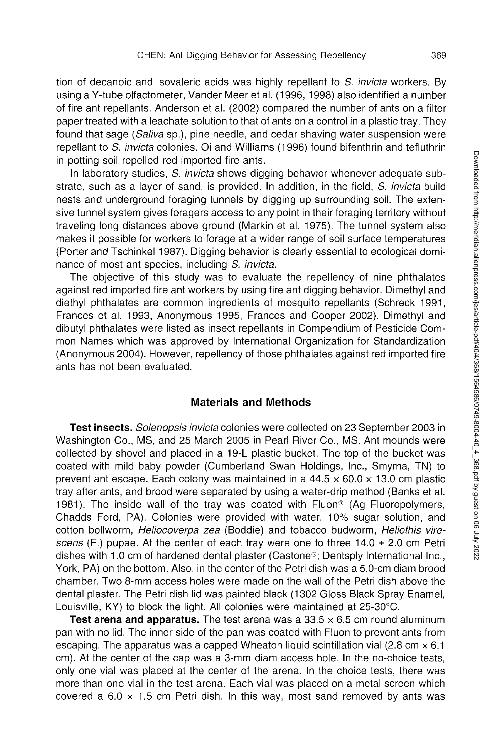tion of decanoic and isovaleric acids was highly repellant to S. *invicta* workers. By using a Y-tube olfactometer, Vander Meer et al. (1996, 1998) also identified a number of fire ant repellants. Anderson et al. (2002) compared the number of ants on a filter paper treated with a leachate solution to that of ants on a control in a plastic tray. They found that sage *(Saliva* sp.), pine needle, and cedar shaving water suspension were repellant to S. *invicta* colonies. Oi and Williams (1996) found bifenthrin and tefluthrin in potting soil repelled red imported fire ants.

In laboratory studies, S. *invicta* shows digging behavior whenever adequate substrate, such as a layer of sand, is provided. In addition, in the field, S. *invicta* build nests and underground foraging tunnels by digging up surrounding soil. The extensive tunnel system gives foragers access to any point in their foraging territory without traveling long distances above ground (Markin et al. 1975). The tunnel system also makes it possible for workers to forage at a wider range of soil surface temperatures (Porter and Tschinkel 1987). Digging behavior is clearly essential to ecological dominance of most ant species, including S. *invicta.* 

The objective of this study was to evaluate the repellency of nine phthalates against red imported fire ant workers by using fire ant digging behavior. Dimethyl and diethyl phthalates are common ingredients of mosquito repellants (Schreck 1991, Frances et al. 1993, Anonymous 1995, Frances and Cooper 2002). Dimethyl and dibutyl phthalates were listed as insect repellants in Compendium of Pesticide Common Names which was approved by International Organization for Standardization (Anonymous 2004). However, repellency of those phthalates against red imported fire ants has not been evaluated.

### **Materials and Methods**

**Test insects.** *Solenopsis invicta* colonies were collected on 23 September 2003 in Washington Co., MS, and 25 March 2005 in Pearl River Co., MS. Ant mounds were collected by shove! and placed in a 19-L plastic bucket. The top of the bucket was coated with mild baby powder (Cumberland Swan Holdings, Inc., Smyrna, TN) to prevent ant escape. Each colony was maintained in a  $44.5 \times 60.0 \times 13.0$  cm plastic tray after ants, and brood were separated by using a water-drip method (Banks et al. 1981). The inside wall of the tray was coated with Fluon<sup>®</sup> (Aq Fluoropolymers, Chadds Ford, PA). Colonies were provided with water, 10% sugar solution, and cotton bollworm, *Heiiocoverpa zea* (Boddie) and tobacco budworm, *Heliothis virescens* (F.) pupae. At the center of each tray were one to three 14.0 ± 2.0 cm Petri dishes with 1.0 cm of hardened dental plaster (Castone®; Dentsply International Inc., York, PA) on the bottom. Also, in the center of the Petri dish was a 5.0-cm diam brood chamber. Two 8-mm access holes were made on the wall of the Petri dish above the dental plaster. The Petri dish lid was painted black (1302 Gloss Black Spray Enamel, Louisville, KY) to block the light. All colonies were maintained at 25-30°C.

**Test arena and apparatus.** The test arena was a  $33.5 \times 6.5$  cm round aluminum pan with no lid. The inner side of the pan was coated with Fluon to prevent ants from escaping. The apparatus was a capped Wheaton liquid scintillation vial (2.8 cm  $\times$  6.1 cm). At the center of the cap was a 3-mm diam access hole. In the no-choice tests, only one vial was placed at the center of the arena. In the choice tests, there was more than one vial in the test arena. Each vial was placed on a metal screen which covered a  $6.0 \times 1.5$  cm Petri dish. In this way, most sand removed by ants was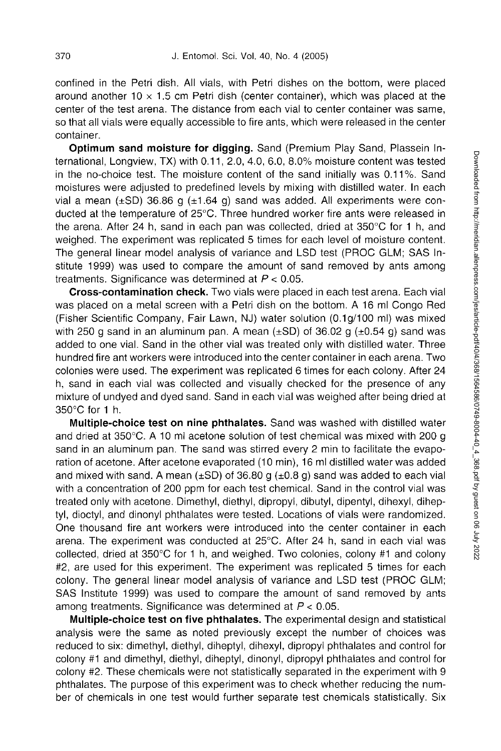confined in the Petri dish. All vials, with Petri dishes on the bottom, were placed around another 10  $\times$  1.5 cm Petri dish (center container), which was placed at the center of the test arena. The distance from each vial to center container was same, so that all vials were equally accessible to fire ants, which were released in the center container.

**Optimum sand moisture for digging.** Sand (Premium Play Sand, Plassein International, Longview, TX) with 0.11, 2.0, 4.0, 6.0, 8.0% moisture content was tested in the no-choice test. The moisture content of the sand initially was 0.11%. Sand moistures were adjusted to predefined levels by mixing with distilled water. In each vial a mean  $(\pm SD)$  36.86 g  $(\pm 1.64$  g) sand was added. All experiments were conducted at the temperature of 25°C. Three hundred worker fire ants were released in the arena. After 24 h, sand in each pan was collected, dried at 350°C for 1 h, and weighed. The experiment was replicated 5 times for each level of moisture content. The general linear model analysis of variance and LSD test (PROC GLM; SAS Institute 1999) was used to compare the amount of sand removed by ants among treatments. Significance was determined at  $P < 0.05$ .

**Cross-contamination check.** Two vials were placed in each test arena. Each vial was placed on a metal screen with a Petri dish on the bottom. A 16 ml Congo Red (Fisher Scientific Company, Fair Lawn, NJ) water solution (0.1 g/100 ml) was mixed with 250 g sand in an aluminum pan. A mean ( $\pm$ SD) of 36.02 g ( $\pm$ 0.54 g) sand was added to one vial. Sand in the other vial was treated only with distilled water. Three hundred fire ant workers were introduced into the center container in each arena. Two colonies were used. The experiment was replicated 6 times for each colony. After 24 h, sand in each vial was collected and visually checked for the presence of any mixture of undyed and dyed sand. Sand in each vial was weighed after being dried at 350°C for 1 h.

**Multiple-choice test on nine phthalates.** Sand was washed with distilled water and dried at 350°C. A 10 ml acetone solution of test chemical was mixed with 200 g sand in an aluminum pan. The sand was stirred every 2 min to facilitate the evaporation of acetone. After acetone evaporated (10 min), 16 ml distilled water was added and mixed with sand. A mean  $(\pm SD)$  of 36.80 g  $(\pm 0.8 \text{ g})$  sand was added to each vial with a concentration of 200 ppm for each test chemical. Sand in the control vial was treated only with acetone. Dimethyl, diethyl, dipropyl, dibutyl, dipentyl, dihexyl, diheptyl, dioctyl, and dinonyl phthalates were tested. Locations of vials were randomized. One thousand fire ant workers were introduced into the center container in each arena. The experiment was conducted at 25°C. After 24 h, sand in each vial was collected, dried at 350°C for 1 h, and weighed. Two colonies, colony #1 and colony #2, are used for this experiment. The experiment was replicated 5 times for each colony. The general linear model analysis of variance and LSD test (PROC GLM; SAS Institute 1999) was used to compare the amount of sand removed by ants among treatments. Significance was determined at  $P < 0.05$ .

**Multiple-choice test on five phthalates.** The experimental design and statistical analysis were the same as noted previously except the number of choices was reduced to six: dimethyl, diethyl, diheptyl, dihexyl, dipropyl phthalates and control for colony #1 and dimethyl, diethyl, diheptyl, dinonyl, dipropyl phthalates and control for colony #2. These chemicals were not statistically separated in the experiment with 9 phthalates. The purpose of this experiment was to check whether reducing the number of chemicals in one test would further separate test chemicals statistically. Six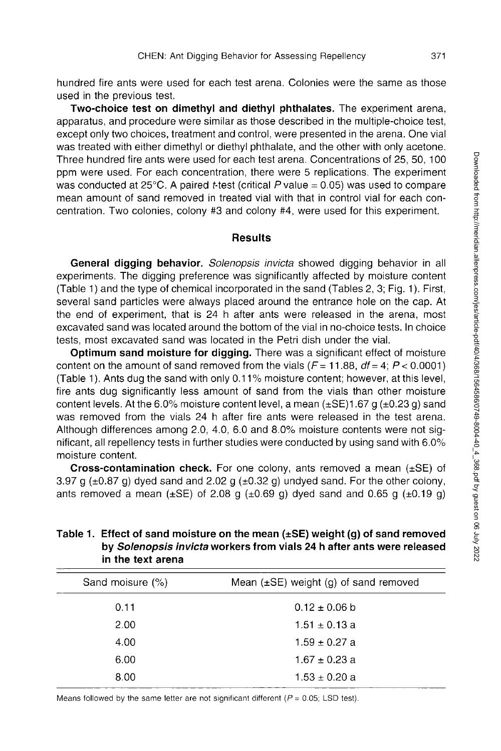hundred fire ants were used for each test arena. Colonies were the same as those used in the previous test.

**Two-choice test on dimethyl and diethyl phthalates.** The experiment arena, apparatus, and procedure were similar as those described in the multiple-choice test, except only two choices, treatment and control, were presented in the arena. One vial was treated with either dimethyl or diethyl phthalate, and the other with only acetone. Three hundred fire ants were used for each test arena. Concentrations of 25, 50, 100 ppm were used. For each concentration, there were 5 replications. The experiment was conducted at  $25^{\circ}$ C. A paired t-test (critical P value = 0.05) was used to compare mean amount of sand removed in treated vial with that in control vial for each concentration. Two colonies, colony #3 and colony #4, were used for this experiment.

### **Results**

**General digging behavior.** *Solenopsis invicta* showed digging behavior in all experiments. The digging preference was significantly affected by moisture content (Table 1) and the type of chemical incorporated in the sand (Tables 2, 3; Fig. 1). First, several sand particles were always placed around the entrance hole on the cap. At the end of experiment, that is 24 h after ants were released in the arena, most excavated sand was located around the bottom of the vial in no-choice tests. In choice tests, most excavated sand was located in the Petri dish under the vial.

**Optimum sand moisture for digging.** There was a significant effect of moisture content on the amount of sand removed from the vials  $(F = 11.88, df = 4; P < 0.0001)$ (Table 1). Ants dug the sand with only 0.11 % moisture content; however, at this level, fire ants dug significantly less amount of sand from the vials than other moisture content levels. At the 6.0% moisture content level, a mean  $(\pm SE)1.67$  g  $(\pm 0.23$  g) sand was removed from the vials 24 h after fire ants were released in the test arena. Although differences among 2.0, 4.0, 6.0 and 8.0% moisture contents were not significant, all repellency tests in further studies were conducted by using sand with 6.0% moisture content.

**Cross-contamination check.** For one colony, ants removed a mean (±SE) of 3.97 g ( $\pm$ 0.87 g) dyed sand and 2.02 g ( $\pm$ 0.32 g) undyed sand. For the other colony, ants removed a mean ( $\pm$ SE) of 2.08 g ( $\pm$ 0.69 g) dyed sand and 0.65 g ( $\pm$ 0.19 g)

| Sand moisure (%) | Mean $(\pm SE)$ weight (g) of sand removed |
|------------------|--------------------------------------------|
| 0.11             | $0.12 \pm 0.06$ b                          |
| 2.00             | $1.51 \pm 0.13$ a                          |
| 4.00             | $1.59 \pm 0.27$ a                          |
| 6.00             | $1.67 \pm 0.23$ a                          |
| 8.00             | $1.53 \pm 0.20$ a                          |

## **Table 1. Effect of sand moisture on the mean (±SE) weight (g) of sand removed by** *Solenopsis invicta* **workers from vials 24 h after ants were released in the text arena**

Means followed by the same letter are not significant different ( $P = 0.05$ ; LSD test).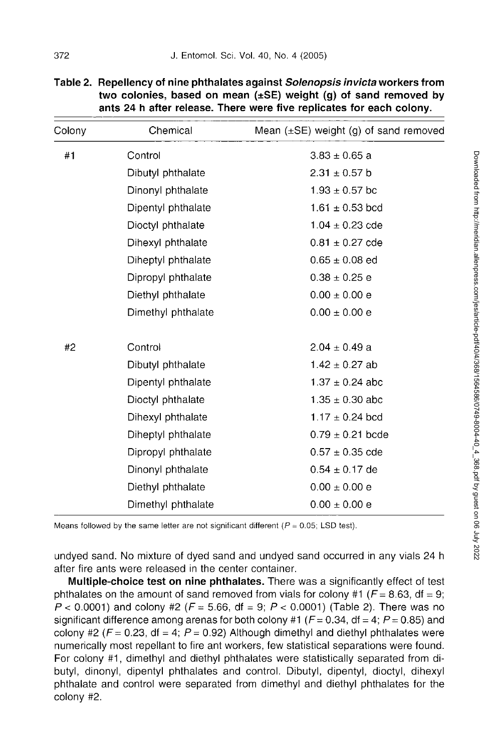| Colony | Chemical           | Mean $(\pm SE)$ weight (g) of sand removed |
|--------|--------------------|--------------------------------------------|
| #1     | Control            | $3.83 \pm 0.65$ a                          |
|        | Dibutyl phthalate  | $2.31 \pm 0.57$ b                          |
|        | Dinonyl phthalate  | $1.93 \pm 0.57$ bc                         |
|        | Dipentyl phthalate | $1.61 \pm 0.53$ bcd                        |
|        | Dioctyl phthalate  | $1.04 \pm 0.23$ cde                        |
|        | Dihexyl phthalate  | $0.81 \pm 0.27$ cde                        |
|        | Diheptyl phthalate | $0.65 \pm 0.08$ ed                         |
|        | Dipropyl phthalate | $0.38 \pm 0.25$ e                          |
|        | Diethyl phthalate  | $0.00 \pm 0.00 e$                          |
|        | Dimethyl phthalate | $0.00 \pm 0.00 e$                          |
| #2     | Control            | $2.04 \pm 0.49$ a                          |
|        | Dibutyl phthalate  | $1.42 \pm 0.27$ ab                         |
|        | Dipentyl phthalate | $1.37 \pm 0.24$ abc                        |
|        | Dioctyl phthalate  | $1.35 \pm 0.30$ abc                        |
|        | Dihexyl phthalate  | $1.17 \pm 0.24$ bcd                        |
|        | Diheptyl phthalate | $0.79 \pm 0.21$ bcde                       |
|        | Dipropyl phthalate | $0.57 \pm 0.35$ cde                        |
|        | Dinonyl phthalate  | $0.54 \pm 0.17$ de                         |
|        | Diethyl phthalate  | $0.00 \pm 0.00 e$                          |
|        | Dimethyl phthalate | $0.00 \pm 0.00 e$                          |

| Table 2. Repellency of nine phthalates against Solenopsis invicta workers from |
|--------------------------------------------------------------------------------|
| two colonies, based on mean $(\pm S\mathsf{E})$ weight (g) of sand removed by  |
| ants 24 h after release. There were five replicates for each colony.           |

Means followed by the same letter are not significant different ( $P = 0.05$ ; LSD test).

undyed sand. No mixture of dyed sand and undyed sand occurred in any vials 24 h after fire ants were released in the center container.

**Multiple-choice test on nine phthalates.** There was a significantly effect of test phthalates on the amount of sand removed from vials for colony #1 ( $F = 8.63$ , df = 9; P < 0.0001) and colony #2 *(F =* 5.66, df = 9; P < 0.0001) (Table 2). There was no significant difference among arenas for both colony #1 (F= 0.34, df = 4; *P =* 0.85) and colony #2 ( $F = 0.23$ , df = 4; P = 0.92) Although dimethyl and diethyl phthalates were numerically most repellant to fire ant workers, few statistical separations were found. For colony #1, dimethyl and diethyl phthalates were statistically separated from dibutyl, dinonyl, dipentyl phthalates and control. Dibutyl, dipentyl, dioctyl, dihexyl phthalate and control were separated from dimethyl and diethyl phthalates for the colony #2.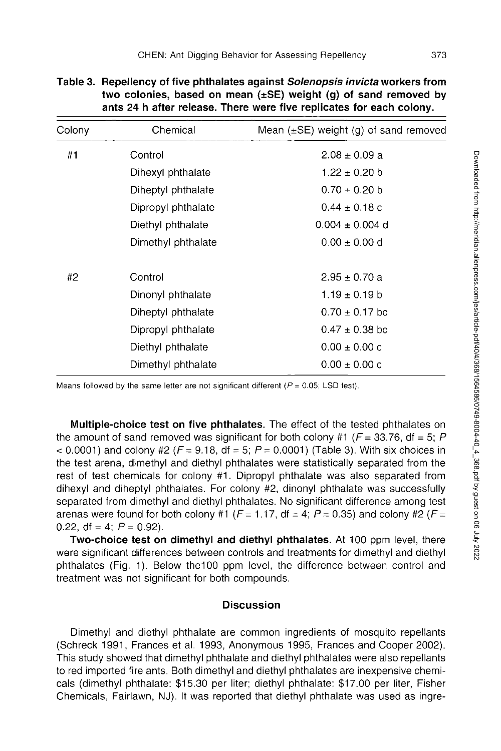| Colony | Chemical           | Mean $(\pm SE)$ weight (g) of sand removed |
|--------|--------------------|--------------------------------------------|
| #1     | Control            | $2.08 \pm 0.09$ a                          |
|        | Dihexyl phthalate  | $1.22 \pm 0.20$ b                          |
|        | Diheptyl phthalate | $0.70 \pm 0.20$ b                          |
|        | Dipropyl phthalate | $0.44 \pm 0.18$ c                          |
|        | Diethyl phthalate  | $0.004 \pm 0.004$ d                        |
|        | Dimethyl phthalate | $0.00 \pm 0.00$ d                          |
| #2     | Control            | $2.95 \pm 0.70$ a                          |
|        | Dinonyl phthalate  | $1.19 \pm 0.19$ b                          |
|        | Diheptyl phthalate | $0.70 \pm 0.17$ bc                         |
|        | Dipropyl phthalate | $0.47 \pm 0.38$ bc                         |
|        | Diethyl phthalate  | $0.00 \pm 0.00$ c                          |
|        | Dimethyl phthalate | $0.00 \pm 0.00$ c                          |
|        |                    |                                            |

| Table 3.  Repellency of five phthalates against <i>Solenopsis invicta</i> workers from |
|----------------------------------------------------------------------------------------|
| two colonies, based on mean $(\pm S E)$ weight (g) of sand removed by                  |
| ants 24 h after release. There were five replicates for each colony.                   |

Means followed by the same letter are not significant different ( $P = 0.05$ ; LSD test).

**Multiple-choice test on five phthalates.** The effect of the tested phthalates on the amount of sand removed was significant for both colony #1 ( $F = 33.76$ , df = 5; P  $<$  0.0001) and colony #2 (F = 9.18, df = 5; P = 0.0001) (Table 3). With six choices in the test arena, dimethyl and diethyl phthalates were statistically separated from the rest of test chemicals for colony #1. Dipropyl phthalate was also separated from dihexyl and diheptyl phthalates. For colony #2, dinonyl phthalate was successfully separated from dimethyl and diethyl phthalates. No significant difference among test arenas were found for both colony #1 ( $F = 1.17$ , df = 4;  $P = 0.35$ ) and colony #2 ( $F =$ 0.22, df = 4;  $P = 0.92$ ).

**Two-choice test on dimethyl and diethyl phthalates.** At 100 ppm level, there were significant differences between controls and treatments for dimethyl and diethyl phthalates (Fig. 1). Below the100 ppm level, the difference between control and treatment was not significant for both compounds.

## **Discussion**

Dimethyl and diethyl phthalate are common ingredients of mosquito repellants (Schreck 1991, Frances et al. 1993, Anonymous 1995, Frances and Cooper 2002). This study showed that dimethyl phthalate and diethyl phthalates were also repellants to red imported fire ants. Both dimethyl and diethyl phthalates are inexpensive chemicals (dimethyl phthalate: \$15.30 per liter; diethyl phthalate: \$17.00 per liter, Fisher Chemicals, Fairlawn, NJ). It was reported that diethyl phthalate was used as ingre-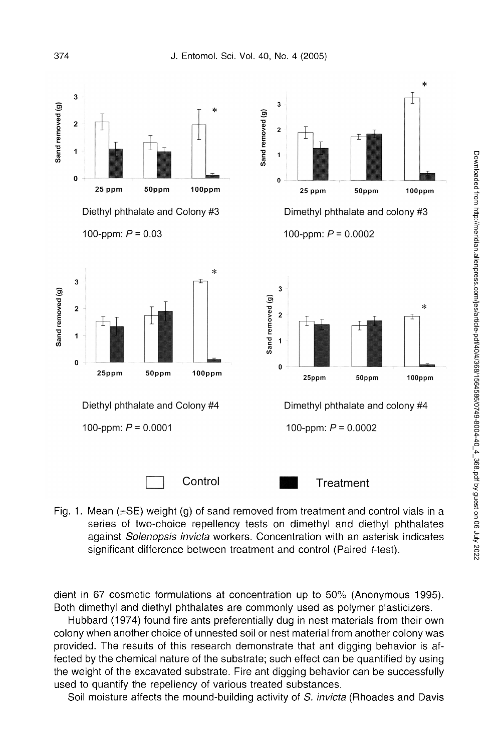

Fig. 1. Mean  $(\pm S\mathsf{E})$  weight (g) of sand removed from treatment and control vials in a series of two-choice repellency tests on dimethyl and diethyl phthalates against *Solenopsis invicta* workers. Concentration with an asterisk indicates significant difference between treatment and control (Paired t-test).

dient in 67 cosmetic formulations at concentration up to 50% (Anonymous 1995). Both dimethyl and diethyl phthalates are commonly used as polymer plasticizers.

Hubbard (1974) found fire ants preferentially dug in nest materials from their own colony when another choice of unnested soil or nest material from another colony was provided. The results of this research demonstrate that ant digging behavior is affected by the chemical nature of the substrate; such effect can be quantified by using the weight of the excavated substrate. Fire ant digging behavior can be successfully used to quantify the repellency of various treated substances.

Soil moisture affects the mound-building activity of S. *invicta* (Rhoades and Davis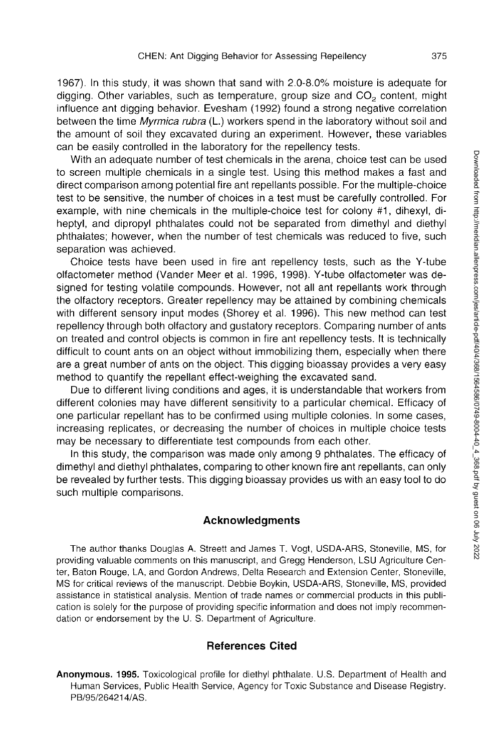1967). In this study, it was shown that sand with 2.0-8.0% moisture is adequate for digging. Other variables, such as temperature, group size and  $CO<sub>2</sub>$  content, might influence ant digging behavior. Evesham (1992) found a strong negative correlation between the time *Myrmica rubra* (L.) workers spend in the laboratory without soil and the amount of soil they excavated during an experiment. However, these variables can be easily controlled in the laboratory for the repellency tests.

With an adequate number of test chemicals in the arena, choice test can be used to screen multiple chemicals in a single test. Using this method makes a fast and direct comparison among potential fire ant repellants possible. For the multiple-choice test to be sensitive, the number of choices in a test must be carefully controlled. For example, with nine chemicals in the multiple-choice test for colony #1, dihexyl, diheptyl, and dipropyl phthalates could not be separated from dimethyl and diethyl phthalates; however, when the number of test chemicals was reduced to five, such separation was achieved.

Choice tests have been used in fire ant repellency tests, such as the Y-tube olfactometer method (Vander Meer et al. 1996, 1998). Y-tube olfactometer was designed for testing volatile compounds. However, not all ant repellants work through the olfactory receptors. Greater repellency may be attained by combining chemicals with different sensory input modes (Shorey et al. 1996). This new method can test repellency through both olfactory and gustatory receptors. Comparing number of ants on treated and control objects is common in fire ant repellency tests. It is technically difficult to count ants on an object without immobilizing them, especially when there are a great number of ants on the object. This digging bioassay provides a very easy method to quantify the repellant effect-weighing the excavated sand.

Due to different living conditions and ages, it is understandable that workers from different colonies may have different sensitivity to a particular chemical. Efficacy of one particular repellant has to be confirmed using multiple colonies. In some cases, increasing replicates, or decreasing the number of choices in multiple choice tests may be necessary to differentiate test compounds from each other.

In this study, the comparison was made only among 9 phthalates. The efficacy of dimethyl and diethyl phthalates, comparing to other known fire ant repellants, can only be revealed by further tests. This digging bioassay provides us with an easy tool to do such multiple comparisons.

#### **Acknowledgments**

The author thanks Douglas A. Streett and James T. Vogt, USDA-ARS, Stoneville, MS, for providing valuable comments on this manuscript, and Gregg Henderson, LSU Agriculture Center, Baton Rouge, LA, and Gordon Andrews, Delta Research and Extension Center, Stoneville, MS for critical reviews of the manuscript. Debbie Boykin, USDA-ARS, Stoneville, MS, provided assistance in statistical analysis. Mention of trade names or commercial products in this publication is solely for the purpose of providing specific information and does not imply recommendation or endorsement by the U. S. Department of Agriculture.

## **References Cited**

**Anonymous. 1995.** Toxicological profile for diethyl phthalate. U.S. Department of Health and Human Services, Public Health Service, Agency for Toxic Substance and Disease Registry. PB/95/264214/AS.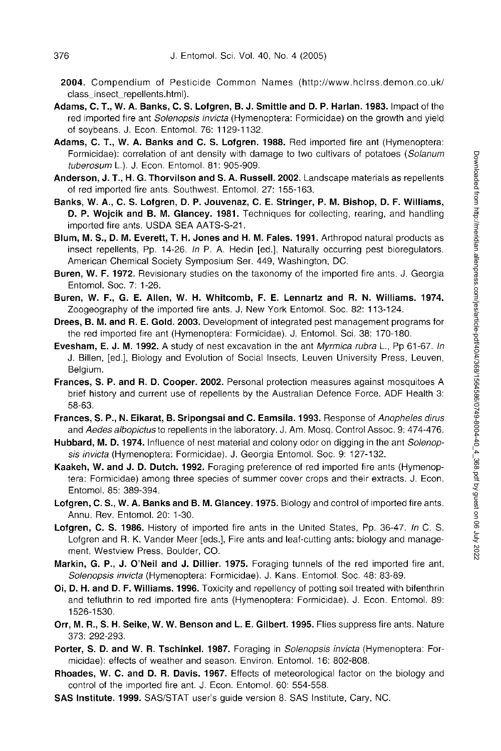- **2004.** Compendium of Pesticide Common Names (<http://www.hclrss.demon.co.uk/> class\_insect\_repellents.html).
- **Adams, C. T., W. A. Banks, C. S. Lofgren, B. J. Smittle and D. P. Harlan. 1983.** Impact of the red imported fire ant *Solenopsis invicta* (Hymenoptera: Formicidae) on the growth and yield of soybeans. J. Econ. Entomol. 76: 1129-1132.
- **Adams, C. T., W. A. Banks and C. S. Lofgren. 1988.** Red imported fire ant (Hymenoptera: Formicidae): correlation of ant density with damage to two cultivars of potatoes (*Solanum tuberosum* L.). J. Econ. Entomol. 81: 905-909.
- **Anderson, J. T., H. G. Thorvilson and S. A. Russell. 2002.** Landscape materials as repellents of red imported fire ants. Southwest. Entomol. 27: 155-163.
- **Banks, W. A., C. S. Lofgren, D. P. Jouvenaz, C. E. Stringer, P. M. Bishop, D. F. Williams, D. P. Wojcik and B. M. Glancey. 1981.** Techniques for collecting, rearing, and handling imported fire ants. USDA SEA AATS-S-21.
- **Blum, M. S., D. M. Everett, T. H. Jones and H. M. Fales. 1991.** Arthropod natural products as insect repellents, Pp. 14-26. *In* P. A. Hedin [ed.], Naturally occurring pest bioregulators. American Chemical Society Symposium Ser. 449, Washington, DC.
- **Buren, W. F. 1972.** Revisionary studies on the taxonomy of the imported fire ants. J. Georgia Entomol. Soc. 7: 1-26.
- **Buren, W. F., G. E. Allen, W. H. Whitcomb, F. E. Lennartz and R. N. Williams. 1974.**  Zoogeography of the imported fire ants. J. New York Entomol. Soc. 82: 113-124.
- **Drees, B. M. and R. E. Gold. 2003.** Development of integrated pest management programs for the red imported fire ant (Hymenoptera: Formicidae). J. Entomol. Sci. 38: 170-180.
- **Evesham, E. J. M. 1992.** A study of nest excavation in the ant *Myrmica rubra* L., Pp 61-67. *In*  J. Billen, [ed.], Biology and Evolution of Social Insects, Leuven University Press, Leuven, Belgium.
- **Frances, S. P. and R. D. Cooper. 2002.** Personal protection measures against mosquitoes A brief history and current use of repellents by the Australian Defence Force. ADF Health 3: 58-63.
- **Frances, S. P., N. Eikarat, B. Sripongsai and C. Eamsila. 1993.** Response of *Anopheles dirus*  and *Aedes albopictus* to repellents in the laboratory. J. Am. Mosq. Control Assoc. 9: 474-476.
- **Hubbard, M. D. 1974.** Influence of nest material and colony odor on digging in the ant *Solenopsis invicta* (Hymenoptera: Formicidae). J. Georgia Entomol. Soc. 9: 127-132.
- **Kaakeh, W. and J. D. Dutch. 1992.** Foraging preference of red imported fire ants (Hymenoptera: Formicidae) among three species of summer cover crops and their extracts. J. Econ. Entomol. 85: 389-394.
- **Lofgren, C. S., W. A. Banks and B. M. Glancey. 1975.** Biology and control of imported fire ants. Annu. Rev. Entomol. 20: 1-30.
- **Lofgren, C. S. 1986.** History of imported fire ants in the United States, Pp. 36-47. *In* C. S. Lofgren and R. K. Vander Meer [eds.], Fire ants and leaf-cutting ants: biology and management. Westview Press, Boulder, CO.
- **Markin, G. P., J. O'Neil and J. Dillier. 1975.** Foraging tunnels of the red imported fire ant, *Solenopsis invicta* (Hymenoptera: Formicidae). J. Kans. Entomol. Soc. 48: 83-89.
- **Oi, D. H. and D. F. Williams. 1996.** Toxicity and repellency of potting soil treated with bifenthrin and tefluthrin to red imported fire ants (Hymenoptera: Formicidae). J. Econ. Entomol. 89: 1526-1530.
- **Orr, M. R., S. H. Seike, W. W. Benson and L. E. Gilbert. 1995.** Flies suppress fire ants. Nature 373: 292-293.
- **Porter, S. D. and W. R. Tschinkel. 1987.** Foraging in *Solenopsis invicta* (Hymenoptera: Formicidae): effects of weather and season. Environ. Entomol. 16: 802-808.
- **Rhoades, W. C. and D. R. Davis. 1967.** Effects of meteorological factor on the biology and control of the imported fire ant. J. Econ. Entomol. 60: 554-558.
- **SAS Institute. 1999.** SAS/STAT user's guide version 8. SAS Institute, Cary, NC.